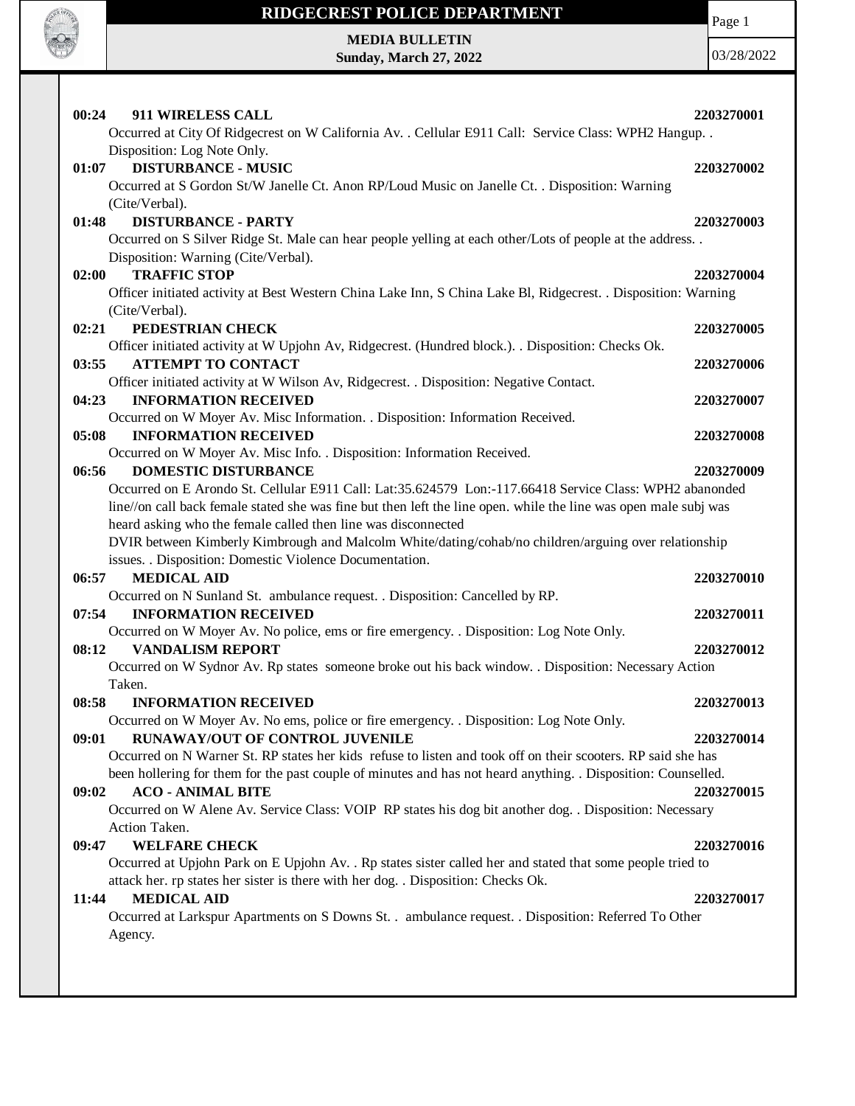

## **RIDGECREST POLICE DEPARTMENT MEDIA BULLETIN**

**Sunday, March 27, 2022**

Page 1

03/28/2022

**00:24 911 WIRELESS CALL 2203270001** Occurred at City Of Ridgecrest on W California Av. . Cellular E911 Call: Service Class: WPH2 Hangup. . Disposition: Log Note Only. **01:07 DISTURBANCE - MUSIC 2203270002** Occurred at S Gordon St/W Janelle Ct. Anon RP/Loud Music on Janelle Ct. . Disposition: Warning (Cite/Verbal). **01:48 DISTURBANCE - PARTY 2203270003** Occurred on S Silver Ridge St. Male can hear people yelling at each other/Lots of people at the address. . Disposition: Warning (Cite/Verbal). **02:00 TRAFFIC STOP 2203270004** Officer initiated activity at Best Western China Lake Inn, S China Lake Bl, Ridgecrest. . Disposition: Warning (Cite/Verbal). **02:21 PEDESTRIAN CHECK 2203270005** Officer initiated activity at W Upjohn Av, Ridgecrest. (Hundred block.). . Disposition: Checks Ok. **03:55 ATTEMPT TO CONTACT 2203270006** Officer initiated activity at W Wilson Av, Ridgecrest. . Disposition: Negative Contact. **04:23 INFORMATION RECEIVED 2203270007** Occurred on W Moyer Av. Misc Information. . Disposition: Information Received. **05:08 INFORMATION RECEIVED 2203270008** Occurred on W Moyer Av. Misc Info. . Disposition: Information Received. **06:56 DOMESTIC DISTURBANCE 2203270009** Occurred on E Arondo St. Cellular E911 Call: Lat:35.624579 Lon:-117.66418 Service Class: WPH2 abanonded line//on call back female stated she was fine but then left the line open. while the line was open male subj was heard asking who the female called then line was disconnected DVIR between Kimberly Kimbrough and Malcolm White/dating/cohab/no children/arguing over relationship issues. . Disposition: Domestic Violence Documentation. **06:57 MEDICAL AID 2203270010** Occurred on N Sunland St. ambulance request. . Disposition: Cancelled by RP. **07:54 INFORMATION RECEIVED 2203270011** Occurred on W Moyer Av. No police, ems or fire emergency. . Disposition: Log Note Only. **08:12 VANDALISM REPORT 2203270012** Occurred on W Sydnor Av. Rp states someone broke out his back window. . Disposition: Necessary Action Taken. **08:58 INFORMATION RECEIVED 2203270013** Occurred on W Moyer Av. No ems, police or fire emergency. . Disposition: Log Note Only. **09:01 RUNAWAY/OUT OF CONTROL JUVENILE 2203270014** Occurred on N Warner St. RP states her kids refuse to listen and took off on their scooters. RP said she has been hollering for them for the past couple of minutes and has not heard anything. . Disposition: Counselled. **09:02 ACO - ANIMAL BITE 2203270015** Occurred on W Alene Av. Service Class: VOIP RP states his dog bit another dog. . Disposition: Necessary Action Taken. **09:47 WELFARE CHECK 2203270016** Occurred at Upjohn Park on E Upjohn Av. . Rp states sister called her and stated that some people tried to attack her. rp states her sister is there with her dog. . Disposition: Checks Ok. **11:44 MEDICAL AID 2203270017** Occurred at Larkspur Apartments on S Downs St. . ambulance request. . Disposition: Referred To Other Agency.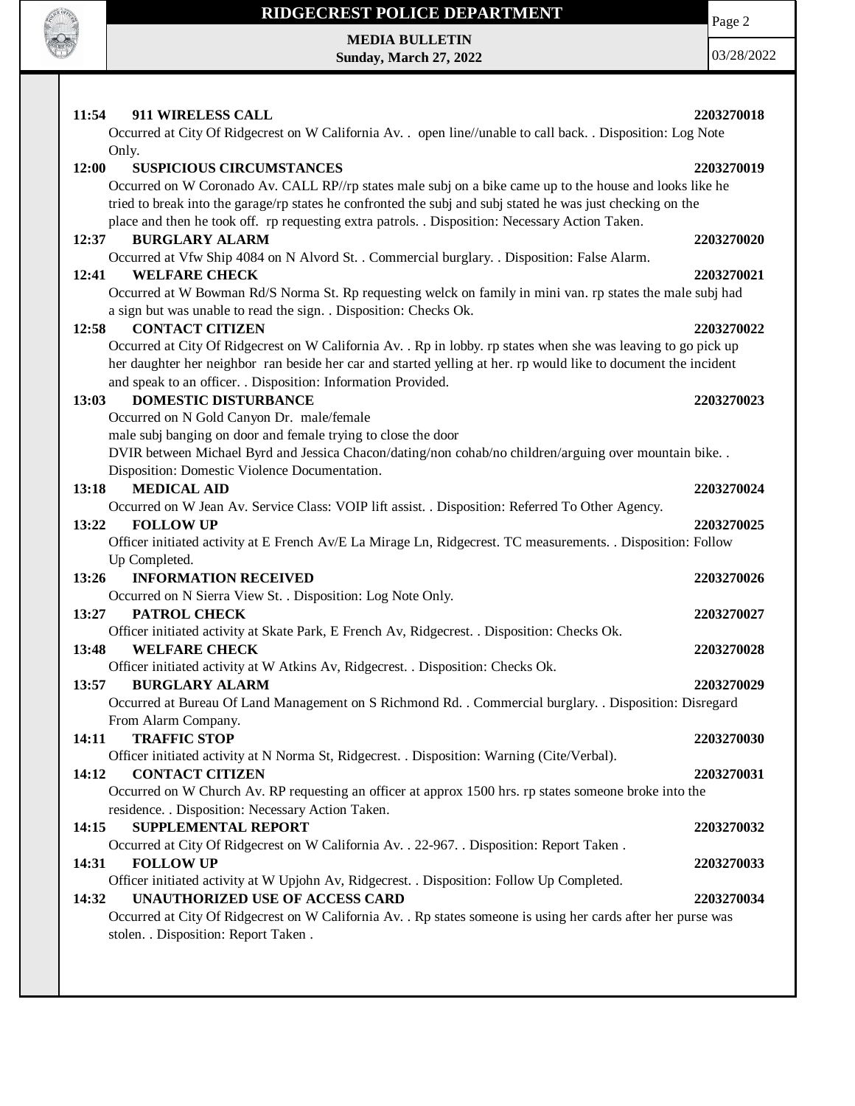

## **RIDGECREST POLICE DEPARTMENT**

**MEDIA BULLETIN Sunday, March 27, 2022**

03/28/2022

Page 2

| 11:54<br>911 WIRELESS CALL<br>Occurred at City Of Ridgecrest on W California Av. . open line//unable to call back. . Disposition: Log Note                                                                                                                                                                                                                             | 2203270018 |
|------------------------------------------------------------------------------------------------------------------------------------------------------------------------------------------------------------------------------------------------------------------------------------------------------------------------------------------------------------------------|------------|
| Only.                                                                                                                                                                                                                                                                                                                                                                  |            |
| 12:00<br><b>SUSPICIOUS CIRCUMSTANCES</b><br>Occurred on W Coronado Av. CALL RP//rp states male subj on a bike came up to the house and looks like he<br>tried to break into the garage/rp states he confronted the subj and subj stated he was just checking on the<br>place and then he took off. rp requesting extra patrols. . Disposition: Necessary Action Taken. | 2203270019 |
| <b>BURGLARY ALARM</b><br>12:37                                                                                                                                                                                                                                                                                                                                         | 2203270020 |
| Occurred at Vfw Ship 4084 on N Alvord St. . Commercial burglary. . Disposition: False Alarm.                                                                                                                                                                                                                                                                           |            |
| 12:41<br><b>WELFARE CHECK</b><br>Occurred at W Bowman Rd/S Norma St. Rp requesting welck on family in mini van. rp states the male subj had<br>a sign but was unable to read the sign. . Disposition: Checks Ok.                                                                                                                                                       | 2203270021 |
| <b>CONTACT CITIZEN</b><br>12:58                                                                                                                                                                                                                                                                                                                                        | 2203270022 |
| Occurred at City Of Ridgecrest on W California Av. . Rp in lobby. rp states when she was leaving to go pick up<br>her daughter her neighbor ran beside her car and started yelling at her. rp would like to document the incident<br>and speak to an officer. . Disposition: Information Provided.                                                                     |            |
| <b>DOMESTIC DISTURBANCE</b><br>13:03<br>Occurred on N Gold Canyon Dr. male/female                                                                                                                                                                                                                                                                                      | 2203270023 |
| male subj banging on door and female trying to close the door<br>DVIR between Michael Byrd and Jessica Chacon/dating/non cohab/no children/arguing over mountain bike. .<br>Disposition: Domestic Violence Documentation.                                                                                                                                              |            |
| <b>MEDICAL AID</b><br>13:18                                                                                                                                                                                                                                                                                                                                            | 2203270024 |
| Occurred on W Jean Av. Service Class: VOIP lift assist. . Disposition: Referred To Other Agency.<br>13:22<br><b>FOLLOW UP</b><br>Officer initiated activity at E French Av/E La Mirage Ln, Ridgecrest. TC measurements. . Disposition: Follow<br>Up Completed.                                                                                                         | 2203270025 |
| 13:26<br><b>INFORMATION RECEIVED</b>                                                                                                                                                                                                                                                                                                                                   | 2203270026 |
| Occurred on N Sierra View St. . Disposition: Log Note Only.                                                                                                                                                                                                                                                                                                            |            |
| 13:27<br>PATROL CHECK                                                                                                                                                                                                                                                                                                                                                  | 2203270027 |
| Officer initiated activity at Skate Park, E French Av, Ridgecrest. . Disposition: Checks Ok.<br>13:48<br><b>WELFARE CHECK</b>                                                                                                                                                                                                                                          | 2203270028 |
| Officer initiated activity at W Atkins Av, Ridgecrest. . Disposition: Checks Ok.<br><b>BURGLARY ALARM</b><br>13:57<br>Occurred at Bureau Of Land Management on S Richmond Rd. . Commercial burglary. . Disposition: Disregard                                                                                                                                          | 2203270029 |
| From Alarm Company.<br><b>TRAFFIC STOP</b><br>14:11                                                                                                                                                                                                                                                                                                                    | 2203270030 |
| Officer initiated activity at N Norma St, Ridgecrest. . Disposition: Warning (Cite/Verbal).<br>14:12<br><b>CONTACT CITIZEN</b><br>Occurred on W Church Av. RP requesting an officer at approx 1500 hrs. rp states someone broke into the                                                                                                                               | 2203270031 |
| residence. . Disposition: Necessary Action Taken.<br><b>SUPPLEMENTAL REPORT</b><br>14:15                                                                                                                                                                                                                                                                               | 2203270032 |
| Occurred at City Of Ridgecrest on W California Av. . 22-967. . Disposition: Report Taken.                                                                                                                                                                                                                                                                              |            |
| <b>FOLLOW UP</b><br>14:31                                                                                                                                                                                                                                                                                                                                              | 2203270033 |
| Officer initiated activity at W Upjohn Av, Ridgecrest. . Disposition: Follow Up Completed.                                                                                                                                                                                                                                                                             |            |
| UNAUTHORIZED USE OF ACCESS CARD<br>14:32<br>Occurred at City Of Ridgecrest on W California Av. . Rp states someone is using her cards after her purse was<br>stolen. . Disposition: Report Taken.                                                                                                                                                                      | 2203270034 |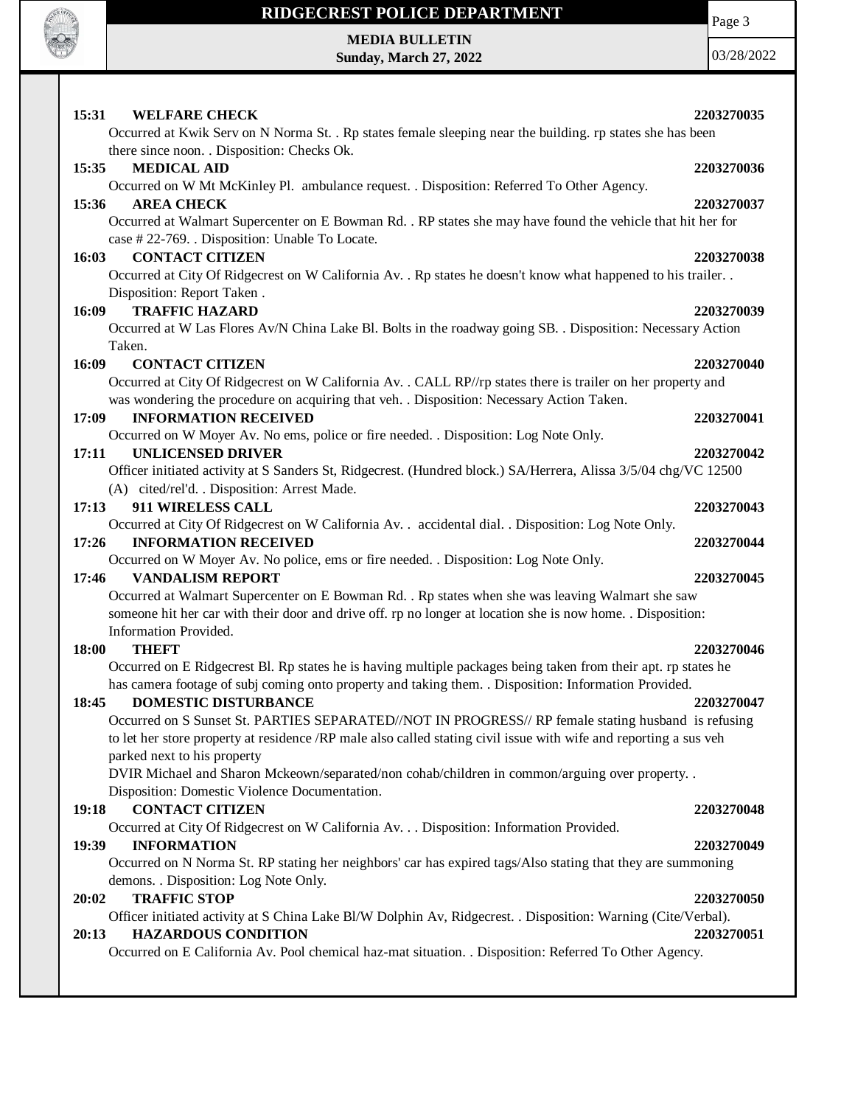

## **RIDGECREST POLICE DEPARTMENT**

Page 3

**MEDIA BULLETIN Sunday, March 27, 2022**

03/28/2022

| 15:31<br><b>WELFARE CHECK</b>                                                                                                                                                                             | 2203270035 |
|-----------------------------------------------------------------------------------------------------------------------------------------------------------------------------------------------------------|------------|
| Occurred at Kwik Serv on N Norma St. . Rp states female sleeping near the building. rp states she has been<br>there since noon. . Disposition: Checks Ok.                                                 |            |
| <b>MEDICAL AID</b><br>15:35                                                                                                                                                                               | 2203270036 |
| Occurred on W Mt McKinley Pl. ambulance request. . Disposition: Referred To Other Agency.<br>15:36<br><b>AREA CHECK</b>                                                                                   | 2203270037 |
| Occurred at Walmart Supercenter on E Bowman Rd. . RP states she may have found the vehicle that hit her for<br>case #22-769. . Disposition: Unable To Locate.                                             |            |
| <b>CONTACT CITIZEN</b><br>16:03<br>Occurred at City Of Ridgecrest on W California Av. . Rp states he doesn't know what happened to his trailer. .                                                         | 2203270038 |
| Disposition: Report Taken.<br><b>TRAFFIC HAZARD</b><br>16:09                                                                                                                                              | 2203270039 |
| Occurred at W Las Flores Av/N China Lake Bl. Bolts in the roadway going SB. . Disposition: Necessary Action                                                                                               |            |
| Taken.                                                                                                                                                                                                    |            |
| <b>CONTACT CITIZEN</b><br>16:09                                                                                                                                                                           | 2203270040 |
| Occurred at City Of Ridgecrest on W California Av. . CALL RP//rp states there is trailer on her property and<br>was wondering the procedure on acquiring that veh. . Disposition: Necessary Action Taken. |            |
| <b>INFORMATION RECEIVED</b><br>17:09                                                                                                                                                                      | 2203270041 |
| Occurred on W Moyer Av. No ems, police or fire needed. . Disposition: Log Note Only.<br><b>UNLICENSED DRIVER</b>                                                                                          |            |
| 17:11<br>Officer initiated activity at S Sanders St, Ridgecrest. (Hundred block.) SA/Herrera, Alissa 3/5/04 chg/VC 12500                                                                                  | 2203270042 |
| (A) cited/rel'd. . Disposition: Arrest Made.                                                                                                                                                              |            |
| 17:13<br>911 WIRELESS CALL                                                                                                                                                                                | 2203270043 |
| Occurred at City Of Ridgecrest on W California Av. . accidental dial. . Disposition: Log Note Only.                                                                                                       |            |
| 17:26<br><b>INFORMATION RECEIVED</b>                                                                                                                                                                      | 2203270044 |
| Occurred on W Moyer Av. No police, ems or fire needed. . Disposition: Log Note Only.                                                                                                                      |            |
| <b>VANDALISM REPORT</b><br>17:46                                                                                                                                                                          | 2203270045 |
| Occurred at Walmart Supercenter on E Bowman Rd. . Rp states when she was leaving Walmart she saw                                                                                                          |            |
| someone hit her car with their door and drive off. rp no longer at location she is now home. . Disposition:<br>Information Provided.                                                                      |            |
| <b>THEFT</b><br>18:00                                                                                                                                                                                     | 2203270046 |
| Occurred on E Ridgecrest Bl. Rp states he is having multiple packages being taken from their apt. rp states he                                                                                            |            |
| has camera footage of subj coming onto property and taking them. . Disposition: Information Provided.                                                                                                     |            |
| <b>DOMESTIC DISTURBANCE</b><br>18:45                                                                                                                                                                      | 2203270047 |
| Occurred on S Sunset St. PARTIES SEPARATED//NOT IN PROGRESS// RP female stating husband is refusing                                                                                                       |            |
| to let her store property at residence /RP male also called stating civil issue with wife and reporting a sus veh                                                                                         |            |
| parked next to his property                                                                                                                                                                               |            |
| DVIR Michael and Sharon Mckeown/separated/non cohab/children in common/arguing over property                                                                                                              |            |
| Disposition: Domestic Violence Documentation.<br><b>CONTACT CITIZEN</b><br>19:18                                                                                                                          | 2203270048 |
| Occurred at City Of Ridgecrest on W California Av. Disposition: Information Provided.                                                                                                                     |            |
| <b>INFORMATION</b><br>19:39                                                                                                                                                                               | 2203270049 |
| Occurred on N Norma St. RP stating her neighbors' car has expired tags/Also stating that they are summoning                                                                                               |            |
| demons. . Disposition: Log Note Only.                                                                                                                                                                     |            |
| <b>TRAFFIC STOP</b><br>20:02                                                                                                                                                                              | 2203270050 |
| Officer initiated activity at S China Lake Bl/W Dolphin Av, Ridgecrest. . Disposition: Warning (Cite/Verbal).                                                                                             |            |
| <b>HAZARDOUS CONDITION</b><br>20:13                                                                                                                                                                       | 2203270051 |
| Occurred on E California Av. Pool chemical haz-mat situation. . Disposition: Referred To Other Agency.                                                                                                    |            |
|                                                                                                                                                                                                           |            |